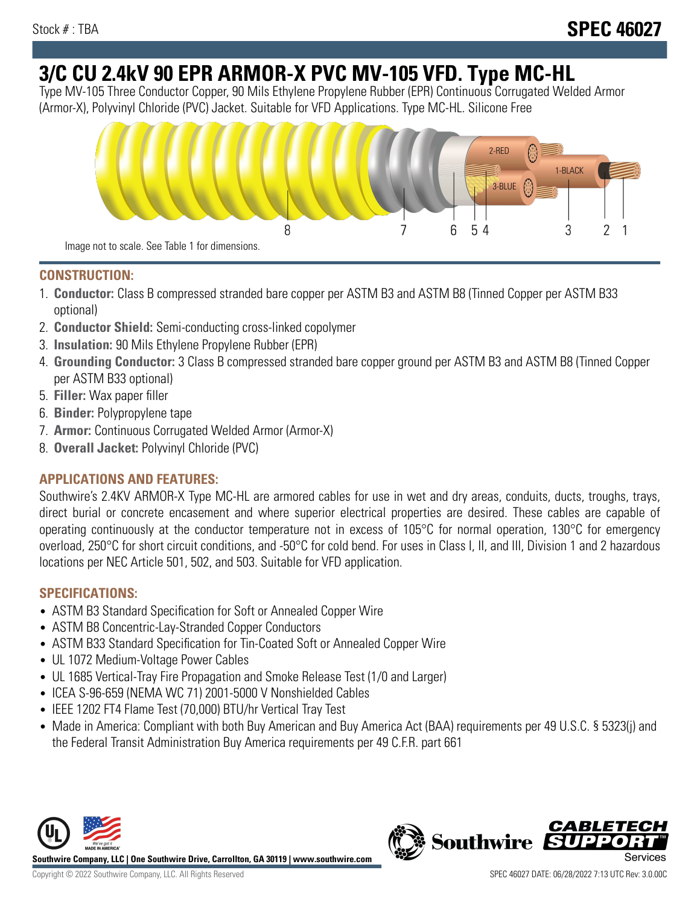# **3/C CU 2.4kV 90 EPR ARMOR-X PVC MV-105 VFD. Type MC-HL**

Type MV-105 Three Conductor Copper, 90 Mils Ethylene Propylene Rubber (EPR) Continuous Corrugated Welded Armor (Armor-X), Polyvinyl Chloride (PVC) Jacket. Suitable for VFD Applications. Type MC-HL. Silicone Free



## **CONSTRUCTION:**

- 1. **Conductor:** Class B compressed stranded bare copper per ASTM B3 and ASTM B8 (Tinned Copper per ASTM B33 optional)
- 2. **Conductor Shield:** Semi-conducting cross-linked copolymer
- 3. **Insulation:** 90 Mils Ethylene Propylene Rubber (EPR)
- 4. **Grounding Conductor:** 3 Class B compressed stranded bare copper ground per ASTM B3 and ASTM B8 (Tinned Copper per ASTM B33 optional)
- 5. **Filler:** Wax paper filler
- 6. **Binder:** Polypropylene tape
- 7. **Armor:** Continuous Corrugated Welded Armor (Armor-X)
- 8. **Overall Jacket:** Polyvinyl Chloride (PVC)

# **APPLICATIONS AND FEATURES:**

Southwire's 2.4KV ARMOR-X Type MC-HL are armored cables for use in wet and dry areas, conduits, ducts, troughs, trays, direct burial or concrete encasement and where superior electrical properties are desired. These cables are capable of operating continuously at the conductor temperature not in excess of 105°C for normal operation, 130°C for emergency overload, 250°C for short circuit conditions, and -50°C for cold bend. For uses in Class I, II, and III, Division 1 and 2 hazardous locations per NEC Article 501, 502, and 503. Suitable for VFD application.

# **SPECIFICATIONS:**

- ASTM B3 Standard Specification for Soft or Annealed Copper Wire
- ASTM B8 Concentric-Lay-Stranded Copper Conductors
- ASTM B33 Standard Specification for Tin-Coated Soft or Annealed Copper Wire
- UL 1072 Medium-Voltage Power Cables
- UL 1685 Vertical-Tray Fire Propagation and Smoke Release Test (1/0 and Larger)
- ICEA S-96-659 (NEMA WC 71) 2001-5000 V Nonshielded Cables
- IEEE 1202 FT4 Flame Test (70,000) BTU/hr Vertical Tray Test
- Made in America: Compliant with both Buy American and Buy America Act (BAA) requirements per 49 U.S.C. § 5323(j) and the Federal Transit Administration Buy America requirements per 49 C.F.R. part 661